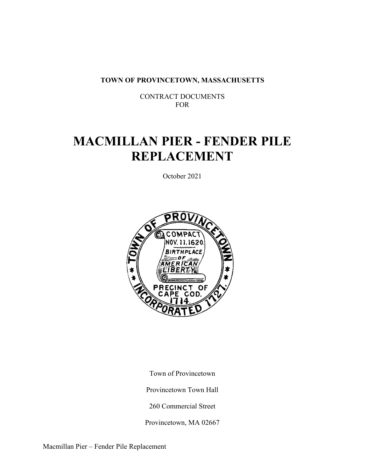**TOWN OF PROVINCETOWN, MASSACHUSETTS** 

 CONTRACT DOCUMENTS FOR

# **MACMILLAN PIER - FENDER PILE REPLACEMENT**

October 2021



 Town of Provincetown Provincetown Town Hall

260 Commercial Street

Provincetown, MA 02667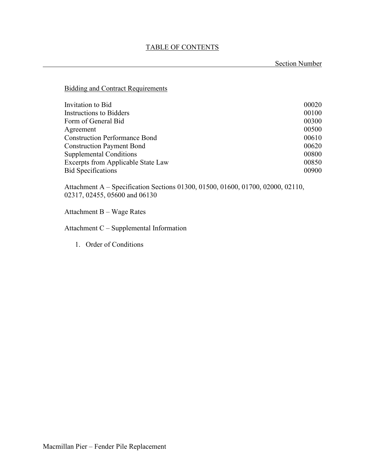Section Number

Bidding and Contract Requirements

| Invitation to Bid                         | 00020 |
|-------------------------------------------|-------|
| Instructions to Bidders                   | 00100 |
| Form of General Bid                       | 00300 |
| Agreement                                 | 00500 |
| <b>Construction Performance Bond</b>      | 00610 |
| <b>Construction Payment Bond</b>          | 00620 |
| <b>Supplemental Conditions</b>            | 00800 |
| <b>Excerpts from Applicable State Law</b> | 00850 |
| <b>Bid Specifications</b>                 | 00900 |

Attachment A – Specification Sections 01300, 01500, 01600, 01700, 02000, 02110, 02317, 02455, 05600 and 06130

Attachment B – Wage Rates

Attachment C – Supplemental Information

1. Order of Conditions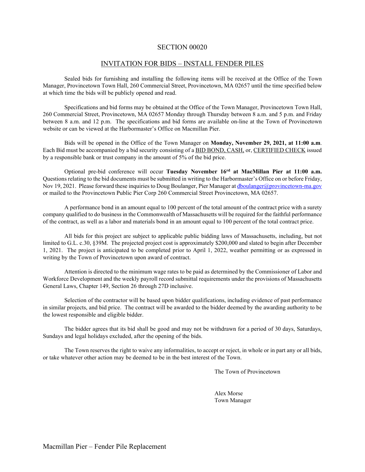#### INVITATION FOR BIDS – INSTALL FENDER PILES

Sealed bids for furnishing and installing the following items will be received at the Office of the Town Manager, Provincetown Town Hall, 260 Commercial Street, Provincetown, MA 02657 until the time specified below at which time the bids will be publicly opened and read.

Specifications and bid forms may be obtained at the Office of the Town Manager, Provincetown Town Hall, 260 Commercial Street, Provincetown, MA 02657 Monday through Thursday between 8 a.m. and 5 p.m. and Friday between 8 a.m. and 12 p.m. The specifications and bid forms are available on-line at the Town of Provincetown website or can be viewed at the Harbormaster's Office on Macmillan Pier.

Bids will be opened in the Office of the Town Manager on **Monday, November 29, 2021, at 11:00 a.m**. Each Bid must be accompanied by a bid security consisting of a BID BOND, CASH, or, CERTIFIED CHECK issued by a responsible bank or trust company in the amount of 5% of the bid price.

Optional pre-bid conference will occur **Tuesday November 16rd at MacMillan Pier at 11:00 a.m.** Questions relating to the bid documents must be submitted in writing to the Harbormaster's Office on or before Friday, Nov 19, 2021. Please forward these inquiries to Doug Boulanger, Pier Manager at dboulanger@provincetown-ma.gov or mailed to the Provincetown Public Pier Corp 260 Commercial Street Provincetown, MA 02657.

A performance bond in an amount equal to 100 percent of the total amount of the contract price with a surety company qualified to do business in the Commonwealth of Massachusetts will be required for the faithful performance of the contract, as well as a labor and materials bond in an amount equal to 100 percent of the total contract price.

All bids for this project are subject to applicable public bidding laws of Massachusetts, including, but not limited to G.L. c.30, §39M. The projected project cost is approximately \$200,000 and slated to begin after December 1, 2021. The project is anticipated to be completed prior to April 1, 2022, weather permitting or as expressed in writing by the Town of Provincetown upon award of contract.

Attention is directed to the minimum wage rates to be paid as determined by the Commissioner of Labor and Workforce Development and the weekly payroll record submittal requirements under the provisions of Massachusetts General Laws, Chapter 149, Section 26 through 27D inclusive.

Selection of the contractor will be based upon bidder qualifications, including evidence of past performance in similar projects, and bid price. The contract will be awarded to the bidder deemed by the awarding authority to be the lowest responsible and eligible bidder.

The bidder agrees that its bid shall be good and may not be withdrawn for a period of 30 days, Saturdays, Sundays and legal holidays excluded, after the opening of the bids.

The Town reserves the right to waive any informalities, to accept or reject, in whole or in part any or all bids, or take whatever other action may be deemed to be in the best interest of the Town.

The Town of Provincetown

 Alex Morse Town Manager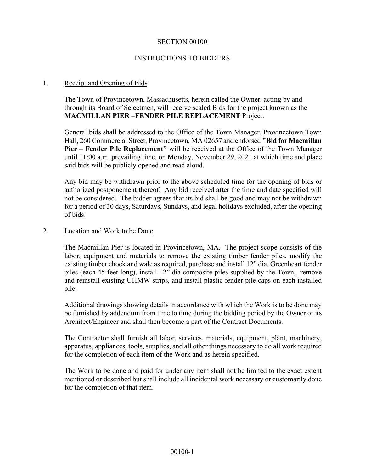#### INSTRUCTIONS TO BIDDERS

#### 1. Receipt and Opening of Bids

The Town of Provincetown, Massachusetts, herein called the Owner, acting by and through its Board of Selectmen, will receive sealed Bids for the project known as the **MACMILLAN PIER –FENDER PILE REPLACEMENT** Project.

General bids shall be addressed to the Office of the Town Manager, Provincetown Town Hall, 260 Commercial Street, Provincetown, MA 02657 and endorsed **"Bid for Macmillan Pier – Fender Pile Replacement"** will be received at the Office of the Town Manager until 11:00 a.m. prevailing time, on Monday, November 29, 2021 at which time and place said bids will be publicly opened and read aloud.

Any bid may be withdrawn prior to the above scheduled time for the opening of bids or authorized postponement thereof. Any bid received after the time and date specified will not be considered. The bidder agrees that its bid shall be good and may not be withdrawn for a period of 30 days, Saturdays, Sundays, and legal holidays excluded, after the opening of bids.

#### 2. Location and Work to be Done

The Macmillan Pier is located in Provincetown, MA. The project scope consists of the labor, equipment and materials to remove the existing timber fender piles, modify the existing timber chock and wale as required, purchase and install 12" dia. Greenheart fender piles (each 45 feet long), install 12" dia composite piles supplied by the Town, remove and reinstall existing UHMW strips, and install plastic fender pile caps on each installed pile.

Additional drawings showing details in accordance with which the Work is to be done may be furnished by addendum from time to time during the bidding period by the Owner or its Architect/Engineer and shall then become a part of the Contract Documents.

The Contractor shall furnish all labor, services, materials, equipment, plant, machinery, apparatus, appliances, tools, supplies, and all other things necessary to do all work required for the completion of each item of the Work and as herein specified.

The Work to be done and paid for under any item shall not be limited to the exact extent mentioned or described but shall include all incidental work necessary or customarily done for the completion of that item.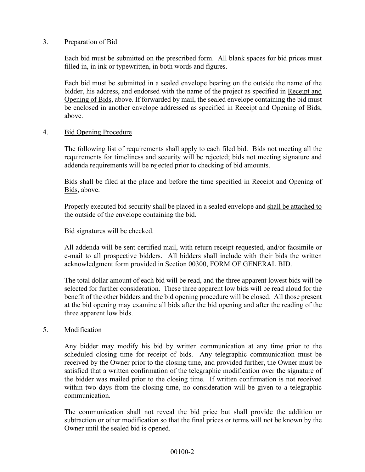#### 3. Preparation of Bid

Each bid must be submitted on the prescribed form. All blank spaces for bid prices must filled in, in ink or typewritten, in both words and figures.

Each bid must be submitted in a sealed envelope bearing on the outside the name of the bidder, his address, and endorsed with the name of the project as specified in Receipt and Opening of Bids, above. If forwarded by mail, the sealed envelope containing the bid must be enclosed in another envelope addressed as specified in Receipt and Opening of Bids, above.

#### 4. Bid Opening Procedure

The following list of requirements shall apply to each filed bid. Bids not meeting all the requirements for timeliness and security will be rejected; bids not meeting signature and addenda requirements will be rejected prior to checking of bid amounts.

Bids shall be filed at the place and before the time specified in Receipt and Opening of Bids, above.

Properly executed bid security shall be placed in a sealed envelope and shall be attached to the outside of the envelope containing the bid.

Bid signatures will be checked.

All addenda will be sent certified mail, with return receipt requested, and/or facsimile or e-mail to all prospective bidders. All bidders shall include with their bids the written acknowledgment form provided in Section 00300, FORM OF GENERAL BID.

The total dollar amount of each bid will be read, and the three apparent lowest bids will be selected for further consideration. These three apparent low bids will be read aloud for the benefit of the other bidders and the bid opening procedure will be closed. All those present at the bid opening may examine all bids after the bid opening and after the reading of the three apparent low bids.

#### 5. Modification

Any bidder may modify his bid by written communication at any time prior to the scheduled closing time for receipt of bids. Any telegraphic communication must be received by the Owner prior to the closing time, and provided further, the Owner must be satisfied that a written confirmation of the telegraphic modification over the signature of the bidder was mailed prior to the closing time. If written confirmation is not received within two days from the closing time, no consideration will be given to a telegraphic communication.

The communication shall not reveal the bid price but shall provide the addition or subtraction or other modification so that the final prices or terms will not be known by the Owner until the sealed bid is opened.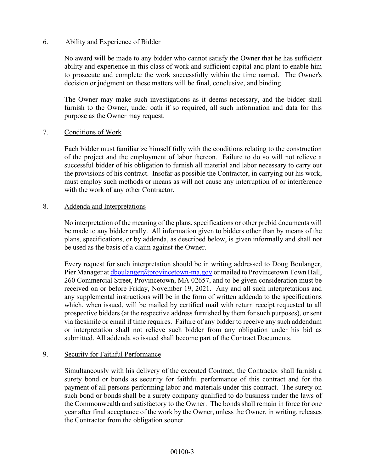#### 6. Ability and Experience of Bidder

No award will be made to any bidder who cannot satisfy the Owner that he has sufficient ability and experience in this class of work and sufficient capital and plant to enable him to prosecute and complete the work successfully within the time named. The Owner's decision or judgment on these matters will be final, conclusive, and binding.

The Owner may make such investigations as it deems necessary, and the bidder shall furnish to the Owner, under oath if so required, all such information and data for this purpose as the Owner may request.

#### 7. Conditions of Work

Each bidder must familiarize himself fully with the conditions relating to the construction of the project and the employment of labor thereon. Failure to do so will not relieve a successful bidder of his obligation to furnish all material and labor necessary to carry out the provisions of his contract. Insofar as possible the Contractor, in carrying out his work, must employ such methods or means as will not cause any interruption of or interference with the work of any other Contractor.

#### 8. Addenda and Interpretations

No interpretation of the meaning of the plans, specifications or other prebid documents will be made to any bidder orally. All information given to bidders other than by means of the plans, specifications, or by addenda, as described below, is given informally and shall not be used as the basis of a claim against the Owner.

Every request for such interpretation should be in writing addressed to Doug Boulanger, Pier Manager at *dboulanger@provincetown-ma.gov* or mailed to Provincetown Town Hall, 260 Commercial Street, Provincetown, MA 02657, and to be given consideration must be received on or before Friday, November 19, 2021. Any and all such interpretations and any supplemental instructions will be in the form of written addenda to the specifications which, when issued, will be mailed by certified mail with return receipt requested to all prospective bidders (at the respective address furnished by them for such purposes), or sent via facsimile or email if time requires. Failure of any bidder to receive any such addendum or interpretation shall not relieve such bidder from any obligation under his bid as submitted. All addenda so issued shall become part of the Contract Documents.

#### 9. Security for Faithful Performance

Simultaneously with his delivery of the executed Contract, the Contractor shall furnish a surety bond or bonds as security for faithful performance of this contract and for the payment of all persons performing labor and materials under this contract. The surety on such bond or bonds shall be a surety company qualified to do business under the laws of the Commonwealth and satisfactory to the Owner. The bonds shall remain in force for one year after final acceptance of the work by the Owner, unless the Owner, in writing, releases the Contractor from the obligation sooner.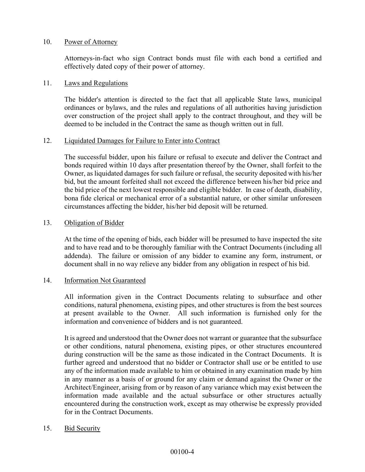#### 10. Power of Attorney

Attorneys-in-fact who sign Contract bonds must file with each bond a certified and effectively dated copy of their power of attorney.

#### 11. Laws and Regulations

The bidder's attention is directed to the fact that all applicable State laws, municipal ordinances or bylaws, and the rules and regulations of all authorities having jurisdiction over construction of the project shall apply to the contract throughout, and they will be deemed to be included in the Contract the same as though written out in full.

#### 12. Liquidated Damages for Failure to Enter into Contract

The successful bidder, upon his failure or refusal to execute and deliver the Contract and bonds required within 10 days after presentation thereof by the Owner, shall forfeit to the Owner, as liquidated damages for such failure or refusal, the security deposited with his/her bid, but the amount forfeited shall not exceed the difference between his/her bid price and the bid price of the next lowest responsible and eligible bidder. In case of death, disability, bona fide clerical or mechanical error of a substantial nature, or other similar unforeseen circumstances affecting the bidder, his/her bid deposit will be returned.

#### 13. Obligation of Bidder

At the time of the opening of bids, each bidder will be presumed to have inspected the site and to have read and to be thoroughly familiar with the Contract Documents (including all addenda). The failure or omission of any bidder to examine any form, instrument, or document shall in no way relieve any bidder from any obligation in respect of his bid.

#### 14. Information Not Guaranteed

All information given in the Contract Documents relating to subsurface and other conditions, natural phenomena, existing pipes, and other structures is from the best sources at present available to the Owner. All such information is furnished only for the information and convenience of bidders and is not guaranteed.

It is agreed and understood that the Owner does not warrant or guarantee that the subsurface or other conditions, natural phenomena, existing pipes, or other structures encountered during construction will be the same as those indicated in the Contract Documents. It is further agreed and understood that no bidder or Contractor shall use or be entitled to use any of the information made available to him or obtained in any examination made by him in any manner as a basis of or ground for any claim or demand against the Owner or the Architect/Engineer, arising from or by reason of any variance which may exist between the information made available and the actual subsurface or other structures actually encountered during the construction work, except as may otherwise be expressly provided for in the Contract Documents.

#### 15. Bid Security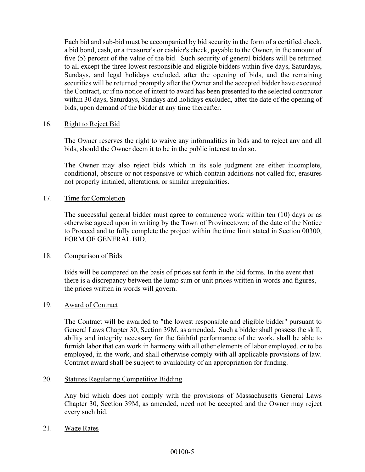Each bid and sub-bid must be accompanied by bid security in the form of a certified check, a bid bond, cash, or a treasurer's or cashier's check, payable to the Owner, in the amount of five (5) percent of the value of the bid. Such security of general bidders will be returned to all except the three lowest responsible and eligible bidders within five days, Saturdays, Sundays, and legal holidays excluded, after the opening of bids, and the remaining securities will be returned promptly after the Owner and the accepted bidder have executed the Contract, or if no notice of intent to award has been presented to the selected contractor within 30 days, Saturdays, Sundays and holidays excluded, after the date of the opening of bids, upon demand of the bidder at any time thereafter.

#### 16. Right to Reject Bid

The Owner reserves the right to waive any informalities in bids and to reject any and all bids, should the Owner deem it to be in the public interest to do so.

The Owner may also reject bids which in its sole judgment are either incomplete, conditional, obscure or not responsive or which contain additions not called for, erasures not properly initialed, alterations, or similar irregularities.

#### 17. Time for Completion

The successful general bidder must agree to commence work within ten (10) days or as otherwise agreed upon in writing by the Town of Provincetown; of the date of the Notice to Proceed and to fully complete the project within the time limit stated in Section 00300, FORM OF GENERAL BID.

#### 18. Comparison of Bids

Bids will be compared on the basis of prices set forth in the bid forms. In the event that there is a discrepancy between the lump sum or unit prices written in words and figures, the prices written in words will govern.

#### 19. Award of Contract

The Contract will be awarded to "the lowest responsible and eligible bidder" pursuant to General Laws Chapter 30, Section 39M, as amended. Such a bidder shall possess the skill, ability and integrity necessary for the faithful performance of the work, shall be able to furnish labor that can work in harmony with all other elements of labor employed, or to be employed, in the work, and shall otherwise comply with all applicable provisions of law. Contract award shall be subject to availability of an appropriation for funding.

#### 20. Statutes Regulating Competitive Bidding

Any bid which does not comply with the provisions of Massachusetts General Laws Chapter 30, Section 39M, as amended, need not be accepted and the Owner may reject every such bid.

21. Wage Rates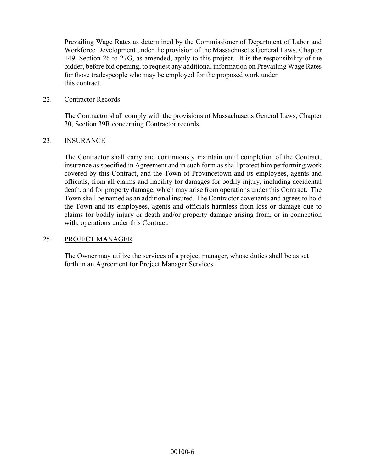Prevailing Wage Rates as determined by the Commissioner of Department of Labor and Workforce Development under the provision of the Massachusetts General Laws, Chapter 149, Section 26 to 27G, as amended, apply to this project. It is the responsibility of the bidder, before bid opening, to request any additional information on Prevailing Wage Rates for those tradespeople who may be employed for the proposed work under this contract.

#### 22. Contractor Records

The Contractor shall comply with the provisions of Massachusetts General Laws, Chapter 30, Section 39R concerning Contractor records.

#### 23. INSURANCE

The Contractor shall carry and continuously maintain until completion of the Contract, insurance as specified in Agreement and in such form as shall protect him performing work covered by this Contract, and the Town of Provincetown and its employees, agents and officials, from all claims and liability for damages for bodily injury, including accidental death, and for property damage, which may arise from operations under this Contract. The Town shall be named as an additional insured. The Contractor covenants and agrees to hold the Town and its employees, agents and officials harmless from loss or damage due to claims for bodily injury or death and/or property damage arising from, or in connection with, operations under this Contract.

#### 25. PROJECT MANAGER

The Owner may utilize the services of a project manager, whose duties shall be as set forth in an Agreement for Project Manager Services.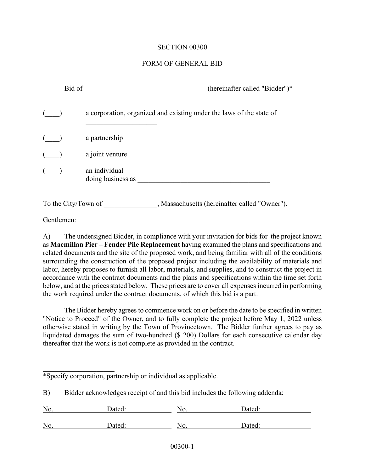#### FORM OF GENERAL BID

| Bid of              | (hereinafter called "Bidder")*                                       |
|---------------------|----------------------------------------------------------------------|
|                     | a corporation, organized and existing under the laws of the state of |
|                     | a partnership                                                        |
|                     | a joint venture                                                      |
|                     | an individual<br>doing business as                                   |
| To the City/Town of | , Massachusetts (hereinafter called "Owner").                        |

Gentlemen:

\_\_\_\_\_\_\_\_\_\_\_\_\_\_\_\_\_\_\_\_

A) The undersigned Bidder, in compliance with your invitation for bids for the project known as **Macmillan Pier – Fender Pile Replacement** having examined the plans and specifications and related documents and the site of the proposed work, and being familiar with all of the conditions surrounding the construction of the proposed project including the availability of materials and labor, hereby proposes to furnish all labor, materials, and supplies, and to construct the project in accordance with the contract documents and the plans and specifications within the time set forth below, and at the prices stated below. These prices are to cover all expenses incurred in performing the work required under the contract documents, of which this bid is a part.

The Bidder hereby agrees to commence work on or before the date to be specified in written "Notice to Proceed" of the Owner, and to fully complete the project before May 1, 2022 unless otherwise stated in writing by the Town of Provincetown. The Bidder further agrees to pay as liquidated damages the sum of two-hundred (\$ 200) Dollars for each consecutive calendar day thereafter that the work is not complete as provided in the contract.

|  |  |  | *Specify corporation, partnership or individual as applicable. |
|--|--|--|----------------------------------------------------------------|
|  |  |  |                                                                |

B) Bidder acknowledges receipt of and this bid includes the following addenda:

| No. | Dated: | No. | Dated. |
|-----|--------|-----|--------|
|     |        |     |        |
| No. | Dated: | No. | Dated: |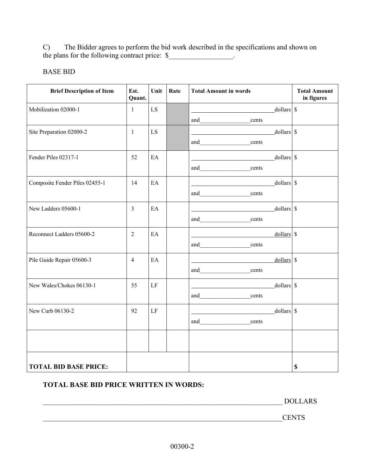C) The Bidder agrees to perform the bid work described in the specifications and shown on the plans for the following contract price:  $\$ 

## BASE BID

| <b>Brief Description of Item</b> | Est.<br>Quant. | Unit | Rate | <b>Total Amount in words</b>                                                                                                         | <b>Total Amount</b><br>in figures |
|----------------------------------|----------------|------|------|--------------------------------------------------------------------------------------------------------------------------------------|-----------------------------------|
| Mobilization 02000-1             | $\mathbf{1}$   | LS   |      | $\overline{\phantom{a}}$ dollars $\overline{\phantom{a}}$ \$                                                                         |                                   |
|                                  |                |      |      | and<br>cents                                                                                                                         |                                   |
| Site Preparation 02000-2         | $\mathbf{1}$   | LS   |      | dollars \$<br><u> 1989 - Johann Stoff, deutscher Stoffen und der Stoffen und der Stoffen und der Stoffen und der Stoffen und der</u> |                                   |
|                                  |                |      |      | and cents                                                                                                                            |                                   |
| Fender Piles 02317-1             | 52             | EA   |      | dollars \$                                                                                                                           |                                   |
|                                  |                |      |      | and cents                                                                                                                            |                                   |
| Composite Fender Piles 02455-1   | 14             | EA   |      | dollars \$<br><u> 1989 - Jan Sterlinger van die Sterlinge van die Sterlinge van die Sterlinge van die Sterlinge van die Sterlin</u>  |                                   |
|                                  |                |      |      | and_____________________cents                                                                                                        |                                   |
| New Ladders 05600-1              | 3              | EA   |      | $dollars$ \$                                                                                                                         |                                   |
|                                  |                |      |      | and____________________cents                                                                                                         |                                   |
| Reconnect Ladders 05600-2        | $\overline{2}$ | EA   |      | dollars \$                                                                                                                           |                                   |
|                                  |                |      |      | and cents                                                                                                                            |                                   |
| Pile Guide Repair 05600-3        | $\overline{4}$ | EA   |      | dollars \$                                                                                                                           |                                   |
|                                  |                |      |      | and cents                                                                                                                            |                                   |
| New Wales/Chokes 06130-1         | 55             | LF   |      | $dollars$ \$                                                                                                                         |                                   |
|                                  |                |      |      | and cents                                                                                                                            |                                   |
| New Curb 06130-2                 | 92             | LF   |      | $dollars$ \$                                                                                                                         |                                   |
|                                  |                |      |      | and cents                                                                                                                            |                                   |
|                                  |                |      |      |                                                                                                                                      |                                   |
|                                  |                |      |      |                                                                                                                                      |                                   |
| <b>TOTAL BID BASE PRICE:</b>     |                |      |      |                                                                                                                                      | $\mathbb S$                       |

## **TOTAL BASE BID PRICE WRITTEN IN WORDS:**

\_\_\_\_\_\_\_\_\_\_\_\_\_\_\_\_\_\_\_\_\_\_\_\_\_\_\_\_\_\_\_\_\_\_\_\_\_\_\_\_\_\_\_\_\_\_\_\_\_\_\_\_\_\_\_\_\_\_\_\_\_\_\_\_\_\_\_ DOLLARS

\_\_\_\_\_\_\_\_\_\_\_\_\_\_\_\_\_\_\_\_\_\_\_\_\_\_\_\_\_\_\_\_\_\_\_\_\_\_\_\_\_\_\_\_\_\_\_\_\_\_\_\_\_\_\_\_\_\_\_\_\_\_\_\_\_\_\_CENTS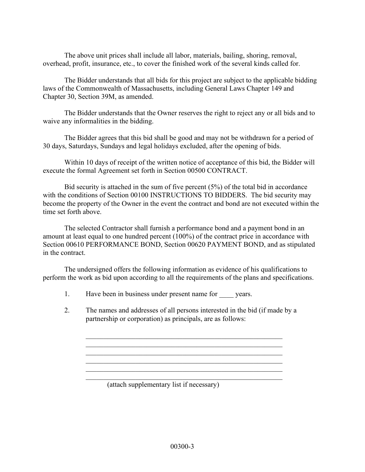The above unit prices shall include all labor, materials, bailing, shoring, removal, overhead, profit, insurance, etc., to cover the finished work of the several kinds called for.

The Bidder understands that all bids for this project are subject to the applicable bidding laws of the Commonwealth of Massachusetts, including General Laws Chapter 149 and Chapter 30, Section 39M, as amended.

The Bidder understands that the Owner reserves the right to reject any or all bids and to waive any informalities in the bidding.

The Bidder agrees that this bid shall be good and may not be withdrawn for a period of 30 days, Saturdays, Sundays and legal holidays excluded, after the opening of bids.

Within 10 days of receipt of the written notice of acceptance of this bid, the Bidder will execute the formal Agreement set forth in Section 00500 CONTRACT.

Bid security is attached in the sum of five percent (5%) of the total bid in accordance with the conditions of Section 00100 INSTRUCTIONS TO BIDDERS. The bid security may become the property of the Owner in the event the contract and bond are not executed within the time set forth above.

The selected Contractor shall furnish a performance bond and a payment bond in an amount at least equal to one hundred percent (100%) of the contract price in accordance with Section 00610 PERFORMANCE BOND, Section 00620 PAYMENT BOND, and as stipulated in the contract.

The undersigned offers the following information as evidence of his qualifications to perform the work as bid upon according to all the requirements of the plans and specifications.

- 1. Have been in business under present name for years.
- 2. The names and addresses of all persons interested in the bid (if made by a partnership or corporation) as principals, are as follows:

 $\_$  , and the set of the set of the set of the set of the set of the set of the set of the set of the set of the set of the set of the set of the set of the set of the set of the set of the set of the set of the set of th \_\_\_\_\_\_\_\_\_\_\_\_\_\_\_\_\_\_\_\_\_\_\_\_\_\_\_\_\_\_\_\_\_\_\_\_\_\_\_\_\_\_\_\_\_\_\_\_\_\_\_\_\_\_\_

 $\_$  , and the set of the set of the set of the set of the set of the set of the set of the set of the set of the set of the set of the set of the set of the set of the set of the set of the set of the set of the set of th  $\_$  , and the set of the set of the set of the set of the set of the set of the set of the set of the set of the set of the set of the set of the set of the set of the set of the set of the set of the set of the set of th  $\_$  , and the set of the set of the set of the set of the set of the set of the set of the set of the set of the set of the set of the set of the set of the set of the set of the set of the set of the set of the set of th

(attach supplementary list if necessary)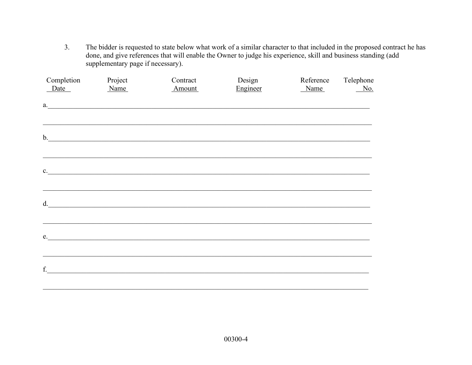The bidder is requested to state below what work of a similar character to that included in the proposed contract he has done, and give references that will enable the Owner to judge his experience, skill and business stan  $3.$ supplementary page if necessary).

| Completion<br>Date | Project<br>Name | Contract<br>Amount                                           | Design<br>Engineer | Reference<br>Name | Telephone<br>$N$ o. |
|--------------------|-----------------|--------------------------------------------------------------|--------------------|-------------------|---------------------|
|                    |                 | a.                                                           |                    |                   |                     |
|                    |                 | b.                                                           |                    |                   |                     |
| $c_{\cdot}$        |                 | <u> 1980 - Jan Barbara, margaretar margaretar (h. 1980).</u> |                    |                   |                     |
|                    |                 | d. $\qquad \qquad$                                           |                    |                   |                     |
|                    |                 | e.                                                           |                    |                   |                     |
| f.                 |                 |                                                              |                    |                   |                     |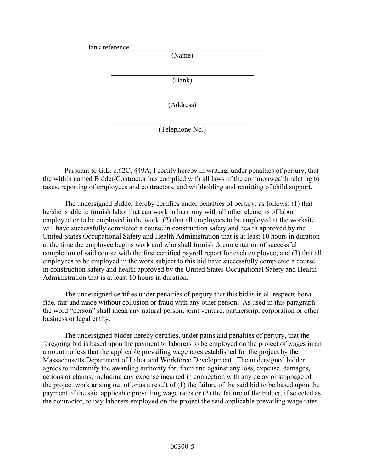Bank reference (Name) \_\_\_\_\_\_\_\_\_\_\_\_\_\_\_\_\_\_\_\_\_\_\_\_\_\_\_\_\_\_\_\_\_\_\_\_\_\_\_\_ (Bank) \_\_\_\_\_\_\_\_\_\_\_\_\_\_\_\_\_\_\_\_\_\_\_\_\_\_\_\_\_\_\_\_\_\_\_\_\_\_\_\_ (Address) \_\_\_\_\_\_\_\_\_\_\_\_\_\_\_\_\_\_\_\_\_\_\_\_\_\_\_\_\_\_\_\_\_\_\_\_\_\_\_\_

(Telephone No.)

Pursuant to G.L. c.62C, §49A, I certify hereby in writing, under penalties of perjury, that the within named Bidder/Contractor has complied with all laws of the commonwealth relating to taxes, reporting of employees and contractors, and withholding and remitting of child support.

The undersigned Bidder hereby certifies under penalties of perjury, as follows: (1) that he/she is able to furnish labor that can work in harmony with all other elements of labor employed or to be employed in the work; (2) that all employees to be employed at the worksite will have successfully completed a course in construction safety and health approved by the United States Occupational Safety and Health Administration that is at least 10 hours in duration at the time the employee begins work and who shall furnish documentation of successful completion of said course with the first certified payroll report for each employee; and (3) that all employees to be employed in the work subject to this bid have successfully completed a course in construction safety and health approved by the United States Occupational Safety and Health Administration that is at least 10 hours in duration.

 The undersigned certifies under penalties of perjury that this bid is in all respects bona fide, fair and made without collusion or fraud with any other person. As used in this paragraph the word "person" shall mean any natural person, joint venture, partnership, corporation or other business or legal entity.

 The undersigned bidder hereby certifies, under pains and penalties of perjury, that the foregoing bid is based upon the payment to laborers to be employed on the project of wages in an amount no less that the applicable prevailing wage rates established for the project by the Massachusetts Department of Labor and Workforce Development. The undersigned bidder agrees to indemnify the awarding authority for, from and against any loss, expense, damages, actions or claims, including any expense incurred in connection with any delay or stoppage of the project work arising out of or as a result of  $(1)$  the failure of the said bid to be based upon the payment of the said applicable prevailing wage rates or (2) the failure of the bidder, if selected as the contractor, to pay laborers employed on the project the said applicable prevailing wage rates.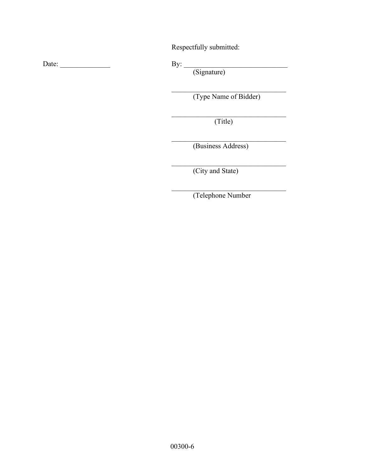Respectfully submitted:

Date: \_\_\_\_\_\_\_\_\_\_\_\_\_\_ By: \_\_\_\_\_\_\_\_\_\_\_\_\_\_\_\_\_\_\_\_\_\_\_\_\_\_\_\_\_

By: <u>(Signature)</u>

 $\mathcal{L}_\text{max}$  and  $\mathcal{L}_\text{max}$  and  $\mathcal{L}_\text{max}$  and  $\mathcal{L}_\text{max}$  and  $\mathcal{L}_\text{max}$  and  $\mathcal{L}_\text{max}$ (Type Name of Bidder)

 $\mathcal{L}_\text{max}$  and  $\mathcal{L}_\text{max}$  and  $\mathcal{L}_\text{max}$  and  $\mathcal{L}_\text{max}$  and  $\mathcal{L}_\text{max}$  and  $\mathcal{L}_\text{max}$ (Title)

(Business Address)

(City and State)

 $\mathcal{L}_\text{max}$  and  $\mathcal{L}_\text{max}$  and  $\mathcal{L}_\text{max}$  and  $\mathcal{L}_\text{max}$  and  $\mathcal{L}_\text{max}$  and  $\mathcal{L}_\text{max}$ (Telephone Number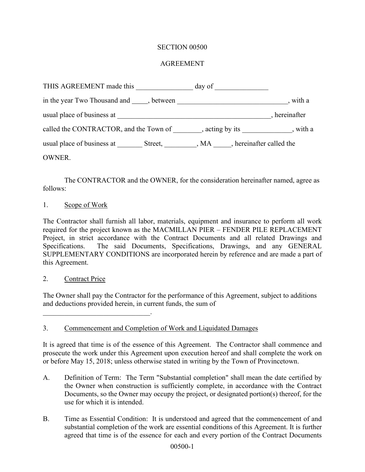## AGREEMENT

| THIS AGREEMENT made this                                                           | day of |               |
|------------------------------------------------------------------------------------|--------|---------------|
|                                                                                    |        | , with a      |
| usual place of business at                                                         |        | , hereinafter |
| called the CONTRACTOR, and the Town of , acting by its , with a                    |        |               |
| usual place of business at Street, MA, Street, Reflectional Association Street, MA |        |               |
| OWNER.                                                                             |        |               |

The CONTRACTOR and the OWNER, for the consideration hereinafter named, agree as follows:

#### 1. Scope of Work

The Contractor shall furnish all labor, materials, equipment and insurance to perform all work required for the project known as the MACMILLAN PIER – FENDER PILE REPLACEMENT Project, in strict accordance with the Contract Documents and all related Drawings and Specifications. The said Documents, Specifications, Drawings, and any GENERAL SUPPLEMENTARY CONDITIONS are incorporated herein by reference and are made a part of this Agreement.

#### 2. Contract Price

 $\overline{\phantom{a}}$  , which is a set of the set of the set of the set of the set of the set of the set of the set of the set of the set of the set of the set of the set of the set of the set of the set of the set of the set of th

The Owner shall pay the Contractor for the performance of this Agreement, subject to additions and deductions provided herein, in current funds, the sum of

## 3. Commencement and Completion of Work and Liquidated Damages

It is agreed that time is of the essence of this Agreement. The Contractor shall commence and prosecute the work under this Agreement upon execution hereof and shall complete the work on or before May 15, 2018; unless otherwise stated in writing by the Town of Provincetown.

- A. Definition of Term: The Term "Substantial completion" shall mean the date certified by the Owner when construction is sufficiently complete, in accordance with the Contract Documents, so the Owner may occupy the project, or designated portion(s) thereof, for the use for which it is intended.
- B. Time as Essential Condition: It is understood and agreed that the commencement of and substantial completion of the work are essential conditions of this Agreement. It is further agreed that time is of the essence for each and every portion of the Contract Documents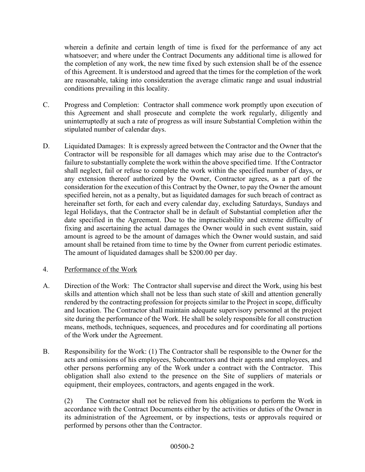wherein a definite and certain length of time is fixed for the performance of any act whatsoever; and where under the Contract Documents any additional time is allowed for the completion of any work, the new time fixed by such extension shall be of the essence of this Agreement. It is understood and agreed that the times for the completion of the work are reasonable, taking into consideration the average climatic range and usual industrial conditions prevailing in this locality.

- C. Progress and Completion: Contractor shall commence work promptly upon execution of this Agreement and shall prosecute and complete the work regularly, diligently and uninterruptedly at such a rate of progress as will insure Substantial Completion within the stipulated number of calendar days.
- D. Liquidated Damages: It is expressly agreed between the Contractor and the Owner that the Contractor will be responsible for all damages which may arise due to the Contractor's failure to substantially complete the work within the above specified time. If the Contractor shall neglect, fail or refuse to complete the work within the specified number of days, or any extension thereof authorized by the Owner, Contractor agrees, as a part of the consideration for the execution of this Contract by the Owner, to pay the Owner the amount specified herein, not as a penalty, but as liquidated damages for such breach of contract as hereinafter set forth, for each and every calendar day, excluding Saturdays, Sundays and legal Holidays, that the Contractor shall be in default of Substantial completion after the date specified in the Agreement. Due to the impracticability and extreme difficulty of fixing and ascertaining the actual damages the Owner would in such event sustain, said amount is agreed to be the amount of damages which the Owner would sustain, and said amount shall be retained from time to time by the Owner from current periodic estimates. The amount of liquidated damages shall be \$200.00 per day.

## 4. Performance of the Work

- A. Direction of the Work: The Contractor shall supervise and direct the Work, using his best skills and attention which shall not be less than such state of skill and attention generally rendered by the contracting profession for projects similar to the Project in scope, difficulty and location. The Contractor shall maintain adequate supervisory personnel at the project site during the performance of the Work. He shall be solely responsible for all construction means, methods, techniques, sequences, and procedures and for coordinating all portions of the Work under the Agreement.
- B. Responsibility for the Work: (1) The Contractor shall be responsible to the Owner for the acts and omissions of his employees, Subcontractors and their agents and employees, and other persons performing any of the Work under a contract with the Contractor. This obligation shall also extend to the presence on the Site of suppliers of materials or equipment, their employees, contractors, and agents engaged in the work.

(2) The Contractor shall not be relieved from his obligations to perform the Work in accordance with the Contract Documents either by the activities or duties of the Owner in its administration of the Agreement, or by inspections, tests or approvals required or performed by persons other than the Contractor.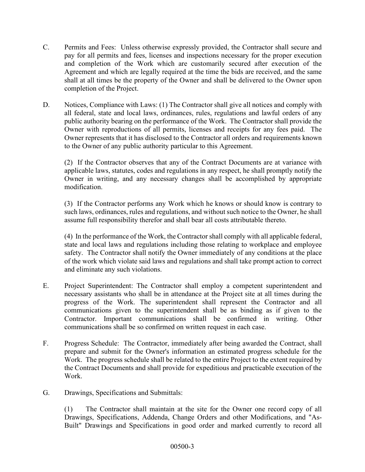- C. Permits and Fees: Unless otherwise expressly provided, the Contractor shall secure and pay for all permits and fees, licenses and inspections necessary for the proper execution and completion of the Work which are customarily secured after execution of the Agreement and which are legally required at the time the bids are received, and the same shall at all times be the property of the Owner and shall be delivered to the Owner upon completion of the Project.
- D. Notices, Compliance with Laws: (1) The Contractor shall give all notices and comply with all federal, state and local laws, ordinances, rules, regulations and lawful orders of any public authority bearing on the performance of the Work. The Contractor shall provide the Owner with reproductions of all permits, licenses and receipts for any fees paid. The Owner represents that it has disclosed to the Contractor all orders and requirements known to the Owner of any public authority particular to this Agreement.

(2) If the Contractor observes that any of the Contract Documents are at variance with applicable laws, statutes, codes and regulations in any respect, he shall promptly notify the Owner in writing, and any necessary changes shall be accomplished by appropriate modification.

(3) If the Contractor performs any Work which he knows or should know is contrary to such laws, ordinances, rules and regulations, and without such notice to the Owner, he shall assume full responsibility therefor and shall bear all costs attributable thereto.

(4) In the performance of the Work, the Contractor shall comply with all applicable federal, state and local laws and regulations including those relating to workplace and employee safety. The Contractor shall notify the Owner immediately of any conditions at the place of the work which violate said laws and regulations and shall take prompt action to correct and eliminate any such violations.

- E. Project Superintendent: The Contractor shall employ a competent superintendent and necessary assistants who shall be in attendance at the Project site at all times during the progress of the Work. The superintendent shall represent the Contractor and all communications given to the superintendent shall be as binding as if given to the Contractor. Important communications shall be confirmed in writing. Other communications shall be so confirmed on written request in each case.
- F. Progress Schedule: The Contractor, immediately after being awarded the Contract, shall prepare and submit for the Owner's information an estimated progress schedule for the Work. The progress schedule shall be related to the entire Project to the extent required by the Contract Documents and shall provide for expeditious and practicable execution of the Work.
- G. Drawings, Specifications and Submittals:

(1) The Contractor shall maintain at the site for the Owner one record copy of all Drawings, Specifications, Addenda, Change Orders and other Modifications, and "As-Built" Drawings and Specifications in good order and marked currently to record all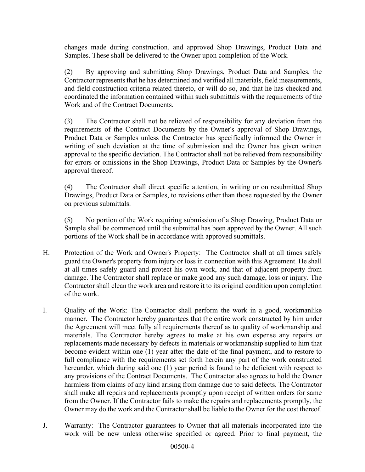changes made during construction, and approved Shop Drawings, Product Data and Samples. These shall be delivered to the Owner upon completion of the Work.

(2) By approving and submitting Shop Drawings, Product Data and Samples, the Contractor represents that he has determined and verified all materials, field measurements, and field construction criteria related thereto, or will do so, and that he has checked and coordinated the information contained within such submittals with the requirements of the Work and of the Contract Documents.

(3) The Contractor shall not be relieved of responsibility for any deviation from the requirements of the Contract Documents by the Owner's approval of Shop Drawings, Product Data or Samples unless the Contractor has specifically informed the Owner in writing of such deviation at the time of submission and the Owner has given written approval to the specific deviation. The Contractor shall not be relieved from responsibility for errors or omissions in the Shop Drawings, Product Data or Samples by the Owner's approval thereof.

(4) The Contractor shall direct specific attention, in writing or on resubmitted Shop Drawings, Product Data or Samples, to revisions other than those requested by the Owner on previous submittals.

(5) No portion of the Work requiring submission of a Shop Drawing, Product Data or Sample shall be commenced until the submittal has been approved by the Owner. All such portions of the Work shall be in accordance with approved submittals.

- H. Protection of the Work and Owner's Property: The Contractor shall at all times safely guard the Owner's property from injury or loss in connection with this Agreement. He shall at all times safely guard and protect his own work, and that of adjacent property from damage. The Contractor shall replace or make good any such damage, loss or injury. The Contractor shall clean the work area and restore it to its original condition upon completion of the work.
- I. Quality of the Work: The Contractor shall perform the work in a good, workmanlike manner. The Contractor hereby guarantees that the entire work constructed by him under the Agreement will meet fully all requirements thereof as to quality of workmanship and materials. The Contractor hereby agrees to make at his own expense any repairs or replacements made necessary by defects in materials or workmanship supplied to him that become evident within one (1) year after the date of the final payment, and to restore to full compliance with the requirements set forth herein any part of the work constructed hereunder, which during said one (1) year period is found to be deficient with respect to any provisions of the Contract Documents. The Contractor also agrees to hold the Owner harmless from claims of any kind arising from damage due to said defects. The Contractor shall make all repairs and replacements promptly upon receipt of written orders for same from the Owner. If the Contractor fails to make the repairs and replacements promptly, the Owner may do the work and the Contractor shall be liable to the Owner for the cost thereof.
- J. Warranty: The Contractor guarantees to Owner that all materials incorporated into the work will be new unless otherwise specified or agreed. Prior to final payment, the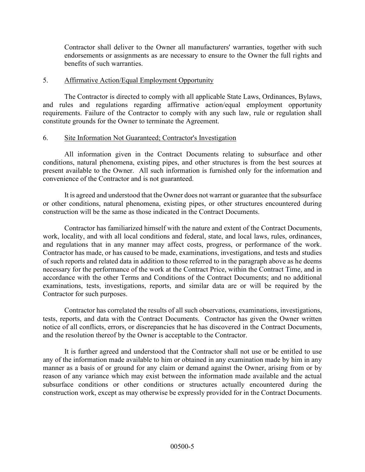Contractor shall deliver to the Owner all manufacturers' warranties, together with such endorsements or assignments as are necessary to ensure to the Owner the full rights and benefits of such warranties.

#### 5. Affirmative Action/Equal Employment Opportunity

The Contractor is directed to comply with all applicable State Laws, Ordinances, Bylaws, and rules and regulations regarding affirmative action/equal employment opportunity requirements. Failure of the Contractor to comply with any such law, rule or regulation shall constitute grounds for the Owner to terminate the Agreement.

#### 6. Site Information Not Guaranteed; Contractor's Investigation

All information given in the Contract Documents relating to subsurface and other conditions, natural phenomena, existing pipes, and other structures is from the best sources at present available to the Owner. All such information is furnished only for the information and convenience of the Contractor and is not guaranteed.

It is agreed and understood that the Owner does not warrant or guarantee that the subsurface or other conditions, natural phenomena, existing pipes, or other structures encountered during construction will be the same as those indicated in the Contract Documents.

Contractor has familiarized himself with the nature and extent of the Contract Documents, work, locality, and with all local conditions and federal, state, and local laws, rules, ordinances, and regulations that in any manner may affect costs, progress, or performance of the work. Contractor has made, or has caused to be made, examinations, investigations, and tests and studies of such reports and related data in addition to those referred to in the paragraph above as he deems necessary for the performance of the work at the Contract Price, within the Contract Time, and in accordance with the other Terms and Conditions of the Contract Documents; and no additional examinations, tests, investigations, reports, and similar data are or will be required by the Contractor for such purposes.

Contractor has correlated the results of all such observations, examinations, investigations, tests, reports, and data with the Contract Documents. Contractor has given the Owner written notice of all conflicts, errors, or discrepancies that he has discovered in the Contract Documents, and the resolution thereof by the Owner is acceptable to the Contractor.

It is further agreed and understood that the Contractor shall not use or be entitled to use any of the information made available to him or obtained in any examination made by him in any manner as a basis of or ground for any claim or demand against the Owner, arising from or by reason of any variance which may exist between the information made available and the actual subsurface conditions or other conditions or structures actually encountered during the construction work, except as may otherwise be expressly provided for in the Contract Documents.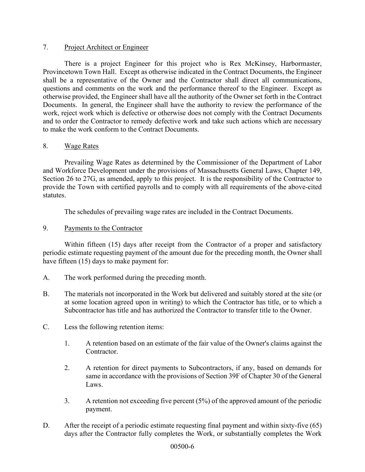### 7. Project Architect or Engineer

There is a project Engineer for this project who is Rex McKinsey, Harbormaster, Provincetown Town Hall. Except as otherwise indicated in the Contract Documents, the Engineer shall be a representative of the Owner and the Contractor shall direct all communications, questions and comments on the work and the performance thereof to the Engineer. Except as otherwise provided, the Engineer shall have all the authority of the Owner set forth in the Contract Documents. In general, the Engineer shall have the authority to review the performance of the work, reject work which is defective or otherwise does not comply with the Contract Documents and to order the Contractor to remedy defective work and take such actions which are necessary to make the work conform to the Contract Documents.

#### 8. Wage Rates

Prevailing Wage Rates as determined by the Commissioner of the Department of Labor and Workforce Development under the provisions of Massachusetts General Laws, Chapter 149, Section 26 to 27G, as amended, apply to this project. It is the responsibility of the Contractor to provide the Town with certified payrolls and to comply with all requirements of the above-cited statutes.

The schedules of prevailing wage rates are included in the Contract Documents.

#### 9. Payments to the Contractor

Within fifteen (15) days after receipt from the Contractor of a proper and satisfactory periodic estimate requesting payment of the amount due for the preceding month, the Owner shall have fifteen (15) days to make payment for:

- A. The work performed during the preceding month.
- B. The materials not incorporated in the Work but delivered and suitably stored at the site (or at some location agreed upon in writing) to which the Contractor has title, or to which a Subcontractor has title and has authorized the Contractor to transfer title to the Owner.
- C. Less the following retention items:
	- 1. A retention based on an estimate of the fair value of the Owner's claims against the Contractor.
	- 2. A retention for direct payments to Subcontractors, if any, based on demands for same in accordance with the provisions of Section 39F of Chapter 30 of the General Laws.
	- 3. A retention not exceeding five percent (5%) of the approved amount of the periodic payment.
- D. After the receipt of a periodic estimate requesting final payment and within sixty-five (65) days after the Contractor fully completes the Work, or substantially completes the Work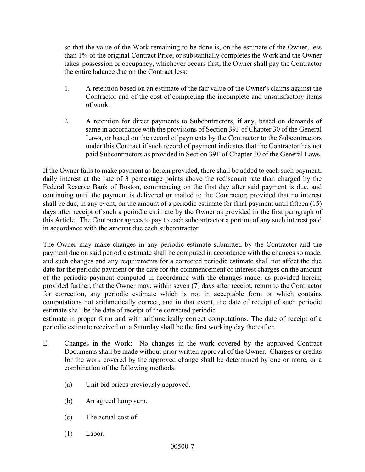so that the value of the Work remaining to be done is, on the estimate of the Owner, less than 1% of the original Contract Price, or substantially completes the Work and the Owner takes possession or occupancy, whichever occurs first, the Owner shall pay the Contractor the entire balance due on the Contract less:

- 1. A retention based on an estimate of the fair value of the Owner's claims against the Contractor and of the cost of completing the incomplete and unsatisfactory items of work.
- 2. A retention for direct payments to Subcontractors, if any, based on demands of same in accordance with the provisions of Section 39F of Chapter 30 of the General Laws, or based on the record of payments by the Contractor to the Subcontractors under this Contract if such record of payment indicates that the Contractor has not paid Subcontractors as provided in Section 39F of Chapter 30 of the General Laws.

If the Owner fails to make payment as herein provided, there shall be added to each such payment, daily interest at the rate of 3 percentage points above the rediscount rate than charged by the Federal Reserve Bank of Boston, commencing on the first day after said payment is due, and continuing until the payment is delivered or mailed to the Contractor; provided that no interest shall be due, in any event, on the amount of a periodic estimate for final payment until fifteen (15) days after receipt of such a periodic estimate by the Owner as provided in the first paragraph of this Article. The Contractor agrees to pay to each subcontractor a portion of any such interest paid in accordance with the amount due each subcontractor.

The Owner may make changes in any periodic estimate submitted by the Contractor and the payment due on said periodic estimate shall be computed in accordance with the changes so made, and such changes and any requirements for a corrected periodic estimate shall not affect the due date for the periodic payment or the date for the commencement of interest charges on the amount of the periodic payment computed in accordance with the changes made, as provided herein; provided further, that the Owner may, within seven (7) days after receipt, return to the Contractor for correction, any periodic estimate which is not in acceptable form or which contains computations not arithmetically correct, and in that event, the date of receipt of such periodic estimate shall be the date of receipt of the corrected periodic

estimate in proper form and with arithmetically correct computations. The date of receipt of a periodic estimate received on a Saturday shall be the first working day thereafter.

- E. Changes in the Work: No changes in the work covered by the approved Contract Documents shall be made without prior written approval of the Owner. Charges or credits for the work covered by the approved change shall be determined by one or more, or a combination of the following methods:
	- (a) Unit bid prices previously approved.
	- (b) An agreed lump sum.
	- (c) The actual cost of:
	- (1) Labor.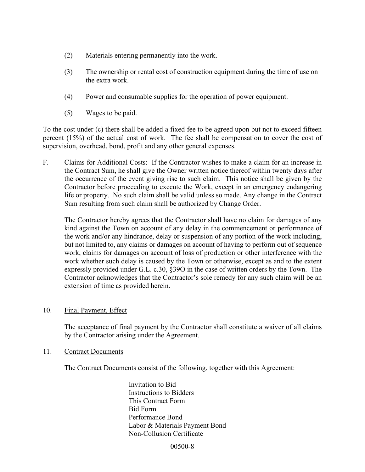- (2) Materials entering permanently into the work.
- (3) The ownership or rental cost of construction equipment during the time of use on the extra work.
- (4) Power and consumable supplies for the operation of power equipment.
- (5) Wages to be paid.

To the cost under (c) there shall be added a fixed fee to be agreed upon but not to exceed fifteen percent (15%) of the actual cost of work. The fee shall be compensation to cover the cost of supervision, overhead, bond, profit and any other general expenses.

F. Claims for Additional Costs: If the Contractor wishes to make a claim for an increase in the Contract Sum, he shall give the Owner written notice thereof within twenty days after the occurrence of the event giving rise to such claim. This notice shall be given by the Contractor before proceeding to execute the Work, except in an emergency endangering life or property. No such claim shall be valid unless so made. Any change in the Contract Sum resulting from such claim shall be authorized by Change Order.

 The Contractor hereby agrees that the Contractor shall have no claim for damages of any kind against the Town on account of any delay in the commencement or performance of the work and/or any hindrance, delay or suspension of any portion of the work including, but not limited to, any claims or damages on account of having to perform out of sequence work, claims for damages on account of loss of production or other interference with the work whether such delay is caused by the Town or otherwise, except as and to the extent expressly provided under G.L. c.30, §39O in the case of written orders by the Town. The Contractor acknowledges that the Contractor's sole remedy for any such claim will be an extension of time as provided herein.

#### 10. Final Payment, Effect

The acceptance of final payment by the Contractor shall constitute a waiver of all claims by the Contractor arising under the Agreement.

#### 11. Contract Documents

The Contract Documents consist of the following, together with this Agreement:

Invitation to Bid Instructions to Bidders This Contract Form Bid Form Performance Bond Labor & Materials Payment Bond Non-Collusion Certificate

00500-8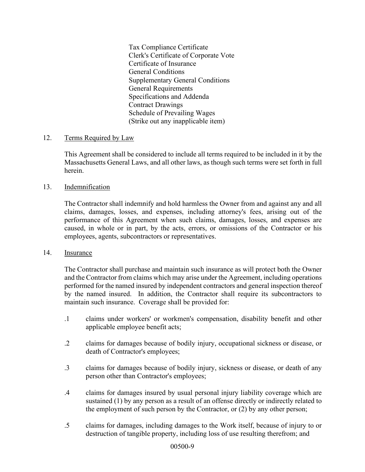Tax Compliance Certificate Clerk's Certificate of Corporate Vote Certificate of Insurance General Conditions Supplementary General Conditions General Requirements Specifications and Addenda Contract Drawings Schedule of Prevailing Wages (Strike out any inapplicable item)

#### 12. Terms Required by Law

This Agreement shall be considered to include all terms required to be included in it by the Massachusetts General Laws, and all other laws, as though such terms were set forth in full herein.

#### 13. Indemnification

The Contractor shall indemnify and hold harmless the Owner from and against any and all claims, damages, losses, and expenses, including attorney's fees, arising out of the performance of this Agreement when such claims, damages, losses, and expenses are caused, in whole or in part, by the acts, errors, or omissions of the Contractor or his employees, agents, subcontractors or representatives.

#### 14. Insurance

The Contractor shall purchase and maintain such insurance as will protect both the Owner and the Contractor from claims which may arise under the Agreement, including operations performed for the named insured by independent contractors and general inspection thereof by the named insured. In addition, the Contractor shall require its subcontractors to maintain such insurance. Coverage shall be provided for:

- .1 claims under workers' or workmen's compensation, disability benefit and other applicable employee benefit acts;
- .2 claims for damages because of bodily injury, occupational sickness or disease, or death of Contractor's employees;
- .3 claims for damages because of bodily injury, sickness or disease, or death of any person other than Contractor's employees;
- .4 claims for damages insured by usual personal injury liability coverage which are sustained (1) by any person as a result of an offense directly or indirectly related to the employment of such person by the Contractor, or (2) by any other person;
- .5 claims for damages, including damages to the Work itself, because of injury to or destruction of tangible property, including loss of use resulting therefrom; and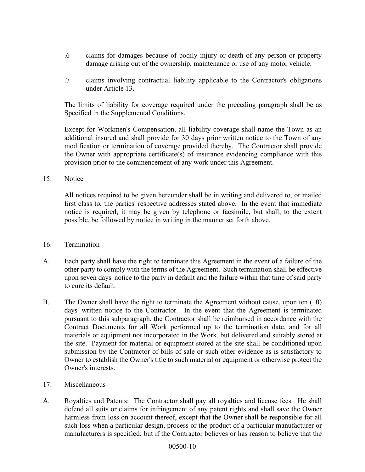- .6 claims for damages because of bodily injury or death of any person or property damage arising out of the ownership, maintenance or use of any motor vehicle.
- .7 claims involving contractual liability applicable to the Contractor's obligations under Article 13.

The limits of liability for coverage required under the preceding paragraph shall be as Specified in the Supplemental Conditions.

Except for Workmen's Compensation, all liability coverage shall name the Town as an additional insured and shall provide for 30 days prior written notice to the Town of any modification or termination of coverage provided thereby. The Contractor shall provide the Owner with appropriate certificate(s) of insurance evidencing compliance with this provision prior to the commencement of any work under this Agreement.

15. Notice

All notices required to be given hereunder shall be in writing and delivered to, or mailed first class to, the parties' respective addresses stated above. In the event that immediate notice is required, it may be given by telephone or facsimile, but shall, to the extent possible, be followed by notice in writing in the manner set forth above.

#### 16. Termination

- A. Each party shall have the right to terminate this Agreement in the event of a failure of the other party to comply with the terms of the Agreement. Such termination shall be effective upon seven days' notice to the party in default and the failure within that time of said party to cure its default.
- B. The Owner shall have the right to terminate the Agreement without cause, upon ten (10) days' written notice to the Contractor. In the event that the Agreement is terminated pursuant to this subparagraph, the Contractor shall be reimbursed in accordance with the Contract Documents for all Work performed up to the termination date, and for all materials or equipment not incorporated in the Work, but delivered and suitably stored at the site. Payment for material or equipment stored at the site shall be conditioned upon submission by the Contractor of bills of sale or such other evidence as is satisfactory to Owner to establish the Owner's title to such material or equipment or otherwise protect the Owner's interests.
- 17. Miscellaneous
- A. Royalties and Patents: The Contractor shall pay all royalties and license fees. He shall defend all suits or claims for infringement of any patent rights and shall save the Owner harmless from loss on account thereof, except that the Owner shall be responsible for all such loss when a particular design, process or the product of a particular manufacturer or manufacturers is specified; but if the Contractor believes or has reason to believe that the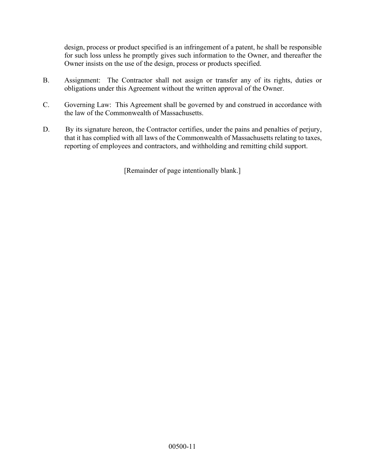design, process or product specified is an infringement of a patent, he shall be responsible for such loss unless he promptly gives such information to the Owner, and thereafter the Owner insists on the use of the design, process or products specified.

- B. Assignment: The Contractor shall not assign or transfer any of its rights, duties or obligations under this Agreement without the written approval of the Owner.
- C. Governing Law: This Agreement shall be governed by and construed in accordance with the law of the Commonwealth of Massachusetts.
- D. By its signature hereon, the Contractor certifies, under the pains and penalties of perjury, that it has complied with all laws of the Commonwealth of Massachusetts relating to taxes, reporting of employees and contractors, and withholding and remitting child support.

[Remainder of page intentionally blank.]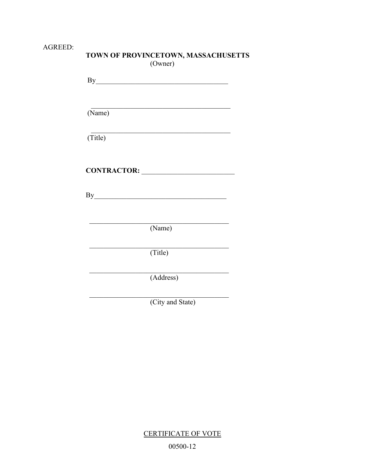## AGREED:

| <b>TOWN OF PROVINCETOWN, MASSACHUSETTS</b> |  |
|--------------------------------------------|--|
| (Owner)                                    |  |

| (Name)  |                  |
|---------|------------------|
| (Title) |                  |
|         |                  |
|         |                  |
|         |                  |
|         |                  |
|         | (Name)           |
|         | (Title)          |
|         | (Address)        |
|         | (City and State) |

**CERTIFICATE OF VOTE** 00500-12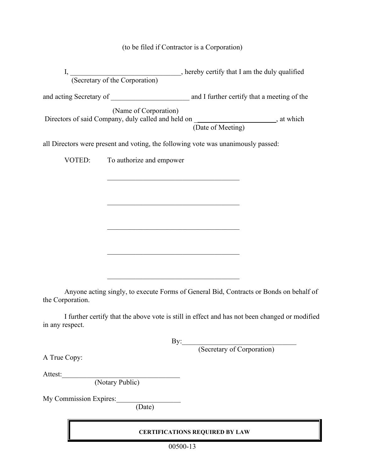## (to be filed if Contractor is a Corporation)

| I,     |                          | (Secretary of the Corporation) error, hereby certify that I am the duly qualified                       |  |
|--------|--------------------------|---------------------------------------------------------------------------------------------------------|--|
|        |                          | and acting Secretary of and I further certify that a meeting of the                                     |  |
|        | (Name of Corporation)    | Directors of said Company, duly called and held on _____________________, at which<br>(Date of Meeting) |  |
|        |                          | all Directors were present and voting, the following vote was unanimously passed:                       |  |
| VOTED: | To authorize and empower |                                                                                                         |  |

Anyone acting singly, to execute Forms of General Bid, Contracts or Bonds on behalf of the Corporation.

I further certify that the above vote is still in effect and has not been changed or modified in any respect.

By:\_\_\_\_\_\_\_\_\_\_\_\_\_\_\_\_\_\_\_\_\_\_\_\_\_\_\_\_\_\_\_\_

(Secretary of Corporation)

A True Copy:

Attest:

(Notary Public)

My Commission Expires:

(Date)

## **CERTIFICATIONS REQUIRED BY LAW**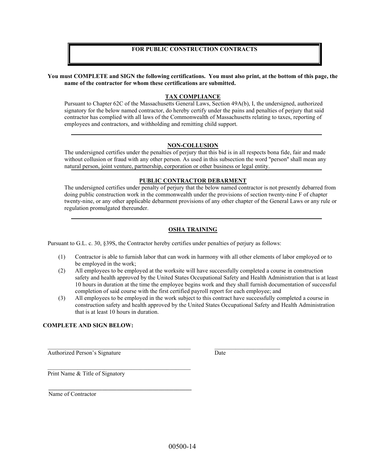#### **FOR PUBLIC CONSTRUCTION CONTRACTS**

**You must COMPLETE and SIGN the following certifications. You must also print, at the bottom of this page, the name of the contractor for whom these certifications are submitted.** 

#### **TAX COMPLIANCE**

Pursuant to Chapter 62C of the Massachusetts General Laws, Section 49A(b), I, the undersigned, authorized signatory for the below named contractor, do hereby certify under the pains and penalties of perjury that said contractor has complied with all laws of the Commonwealth of Massachusetts relating to taxes, reporting of employees and contractors, and withholding and remitting child support.

#### **NON-COLLUSION**

The undersigned certifies under the penalties of perjury that this bid is in all respects bona fide, fair and made without collusion or fraud with any other person. As used in this subsection the word "person'' shall mean any natural person, joint venture, partnership, corporation or other business or legal entity.

#### **PUBLIC CONTRACTOR DEBARMENT**

The undersigned certifies under penalty of perjury that the below named contractor is not presently debarred from doing public construction work in the commonwealth under the provisions of section twenty-nine F of chapter twenty-nine, or any other applicable debarment provisions of any other chapter of the General Laws or any rule or regulation promulgated thereunder.

#### **OSHA TRAINING**

Pursuant to G.L. c. 30, §39S, the Contractor hereby certifies under penalties of perjury as follows:

 $\_$  , and the set of the set of the set of the set of the set of the set of the set of the set of the set of the set of the set of the set of the set of the set of the set of the set of the set of the set of the set of th

- (1) Contractor is able to furnish labor that can work in harmony with all other elements of labor employed or to be employed in the work;
- (2) All employees to be employed at the worksite will have successfully completed a course in construction safety and health approved by the United States Occupational Safety and Health Administration that is at least 10 hours in duration at the time the employee begins work and they shall furnish documentation of successful completion of said course with the first certified payroll report for each employee; and
- (3) All employees to be employed in the work subject to this contract have successfully completed a course in construction safety and health approved by the United States Occupational Safety and Health Administration that is at least 10 hours in duration.

#### **COMPLETE AND SIGN BELOW:**

Authorized Person's Signature Date

Print Name & Title of Signatory

 $\mathcal{L}_\text{max}$  and  $\mathcal{L}_\text{max}$  and  $\mathcal{L}_\text{max}$  and  $\mathcal{L}_\text{max}$ 

**\_\_\_\_\_\_\_\_\_\_\_\_\_\_\_\_\_\_\_\_\_\_\_\_\_\_\_\_\_\_\_\_\_\_\_\_\_\_\_\_\_\_\_\_\_\_\_\_** 

Name of Contractor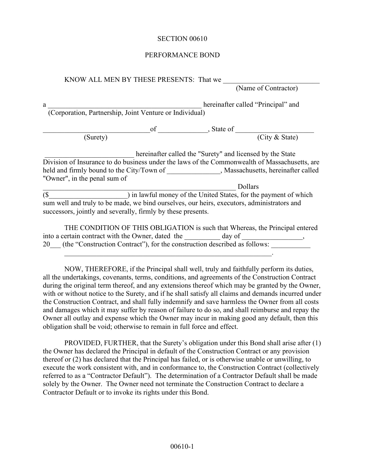#### PERFORMANCE BOND

KNOW ALL MEN BY THESE PRESENTS: That we

(Name of Contractor)

a \_\_\_\_\_\_\_\_\_\_\_\_\_\_\_\_\_\_\_\_\_\_\_\_\_\_\_\_\_\_\_\_\_\_\_\_\_\_\_\_\_\_\_ hereinafter called "Principal" and (Corporation, Partnership, Joint Venture or Individual)

\_\_\_\_\_\_\_\_\_\_\_\_\_\_\_\_\_\_\_\_\_\_\_\_\_\_\_\_\_\_of \_\_\_\_\_\_\_\_\_\_\_\_\_\_, State of \_\_\_\_\_\_\_\_\_\_\_\_\_\_\_\_\_\_\_\_\_\_

(Surety) (City & State)

hereinafter called the "Surety" and licensed by the State Division of Insurance to do business under the laws of the Commonwealth of Massachusetts, are held and firmly bound to the City/Town of \_\_\_\_\_\_\_\_\_\_\_\_\_, Massachusetts, hereinafter called "Owner", in the penal sum of

Dollars  $\overline{(\$)}$  ) in lawful money of the United States, for the payment of which sum well and truly to be made, we bind ourselves, our heirs, executors, administrators and successors, jointly and severally, firmly by these presents.

THE CONDITION OF THIS OBLIGATION is such that Whereas, the Principal entered into a certain contract with the Owner, dated the day of 20 (the "Construction Contract"), for the construction described as follows:

NOW, THEREFORE, if the Principal shall well, truly and faithfully perform its duties, all the undertakings, covenants, terms, conditions, and agreements of the Construction Contract during the original term thereof, and any extensions thereof which may be granted by the Owner, with or without notice to the Surety, and if he shall satisfy all claims and demands incurred under the Construction Contract, and shall fully indemnify and save harmless the Owner from all costs and damages which it may suffer by reason of failure to do so, and shall reimburse and repay the Owner all outlay and expense which the Owner may incur in making good any default, then this obligation shall be void; otherwise to remain in full force and effect.

PROVIDED, FURTHER, that the Surety's obligation under this Bond shall arise after (1) the Owner has declared the Principal in default of the Construction Contract or any provision thereof or (2) has declared that the Principal has failed, or is otherwise unable or unwilling, to execute the work consistent with, and in conformance to, the Construction Contract (collectively referred to as a "Contractor Default"). The determination of a Contractor Default shall be made solely by the Owner. The Owner need not terminate the Construction Contract to declare a Contractor Default or to invoke its rights under this Bond.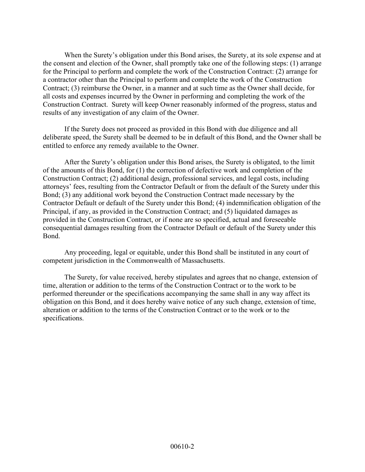When the Surety's obligation under this Bond arises, the Surety, at its sole expense and at the consent and election of the Owner, shall promptly take one of the following steps: (1) arrange for the Principal to perform and complete the work of the Construction Contract: (2) arrange for a contractor other than the Principal to perform and complete the work of the Construction Contract; (3) reimburse the Owner, in a manner and at such time as the Owner shall decide, for all costs and expenses incurred by the Owner in performing and completing the work of the Construction Contract. Surety will keep Owner reasonably informed of the progress, status and results of any investigation of any claim of the Owner.

If the Surety does not proceed as provided in this Bond with due diligence and all deliberate speed, the Surety shall be deemed to be in default of this Bond, and the Owner shall be entitled to enforce any remedy available to the Owner.

After the Surety's obligation under this Bond arises, the Surety is obligated, to the limit of the amounts of this Bond, for (1) the correction of defective work and completion of the Construction Contract; (2) additional design, professional services, and legal costs, including attorneys' fees, resulting from the Contractor Default or from the default of the Surety under this Bond; (3) any additional work beyond the Construction Contract made necessary by the Contractor Default or default of the Surety under this Bond; (4) indemnification obligation of the Principal, if any, as provided in the Construction Contract; and (5) liquidated damages as provided in the Construction Contract, or if none are so specified, actual and foreseeable consequential damages resulting from the Contractor Default or default of the Surety under this Bond.

Any proceeding, legal or equitable, under this Bond shall be instituted in any court of competent jurisdiction in the Commonwealth of Massachusetts.

The Surety, for value received, hereby stipulates and agrees that no change, extension of time, alteration or addition to the terms of the Construction Contract or to the work to be performed thereunder or the specifications accompanying the same shall in any way affect its obligation on this Bond, and it does hereby waive notice of any such change, extension of time, alteration or addition to the terms of the Construction Contract or to the work or to the specifications.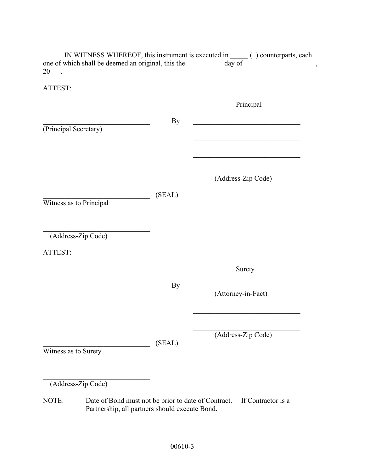| ATTEST:                 |           |                                                                 |
|-------------------------|-----------|-----------------------------------------------------------------|
|                         |           | Principal                                                       |
|                         | By        | <u> 1989 - Johann John Stone, martin de Brasilia (h. 1989).</u> |
| (Principal Secretary)   |           |                                                                 |
|                         |           |                                                                 |
|                         |           | (Address-Zip Code)                                              |
|                         |           |                                                                 |
| Witness as to Principal | (SEAL)    |                                                                 |
|                         |           |                                                                 |
| (Address-Zip Code)      |           |                                                                 |
| ATTEST:                 |           |                                                                 |
|                         |           | Surety                                                          |
|                         | <b>By</b> | (Attorney-in-Fact)                                              |
|                         |           |                                                                 |
|                         |           |                                                                 |
|                         | (SEAL)    | (Address-Zip Code)                                              |
| Witness as to Surety    |           |                                                                 |
| (Address-Zip Code)      |           |                                                                 |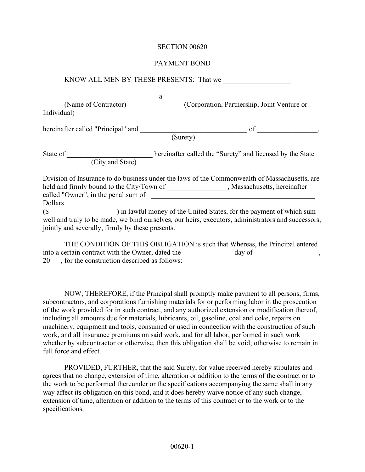#### PAYMENT BOND

|                                     | a                                                                                                                                                                                                                                    |
|-------------------------------------|--------------------------------------------------------------------------------------------------------------------------------------------------------------------------------------------------------------------------------------|
| (Name of Contractor)<br>Individual) | (Corporation, Partnership, Joint Venture or                                                                                                                                                                                          |
|                                     |                                                                                                                                                                                                                                      |
|                                     | (Surety)                                                                                                                                                                                                                             |
| (City and State)                    | State of <u>State of State and State and State and State and State and State and State and State and State and State and State and State and State and State and State and State and State and State and State and State and Sta</u> |
|                                     |                                                                                                                                                                                                                                      |
| Dollars                             | Division of Insurance to do business under the laws of the Commonwealth of Massachusetts, are<br>held and firmly bound to the City/Town of ___________________, Massachusetts, hereinafter                                           |

THE CONDITION OF THIS OBLIGATION is such that Whereas, the Principal entered into a certain contract with the Owner, dated the day of \_\_\_\_\_\_\_\_\_\_\_\_\_\_\_, 20\_\_\_, for the construction described as follows:

NOW, THEREFORE, if the Principal shall promptly make payment to all persons, firms, subcontractors, and corporations furnishing materials for or performing labor in the prosecution of the work provided for in such contract, and any authorized extension or modification thereof, including all amounts due for materials, lubricants, oil, gasoline, coal and coke, repairs on machinery, equipment and tools, consumed or used in connection with the construction of such work, and all insurance premiums on said work, and for all labor, performed in such work whether by subcontractor or otherwise, then this obligation shall be void; otherwise to remain in full force and effect.

PROVIDED, FURTHER, that the said Surety, for value received hereby stipulates and agrees that no change, extension of time, alteration or addition to the terms of the contract or to the work to be performed thereunder or the specifications accompanying the same shall in any way affect its obligation on this bond, and it does hereby waive notice of any such change, extension of time, alteration or addition to the terms of this contract or to the work or to the specifications.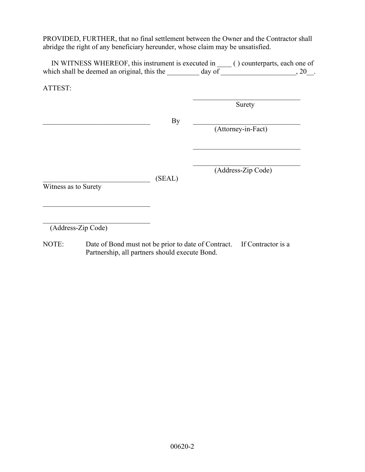PROVIDED, FURTHER, that no final settlement between the Owner and the Contractor shall abridge the right of any beneficiary hereunder, whose claim may be unsatisfied.

 IN WITNESS WHEREOF, this instrument is executed in \_\_\_\_ ( ) counterparts, each one of which shall be deemed an original, this the  $\frac{1}{2}$  day of  $\frac{1}{2}$ , 20.

ATTEST:

|                      |        | Surety             |
|----------------------|--------|--------------------|
|                      | By     | (Attorney-in-Fact) |
| Witness as to Surety | (SEAL) | (Address-Zip Code) |

(Address-Zip Code)

NOTE: Date of Bond must not be prior to date of Contract. If Contractor is a Partnership, all partners should execute Bond.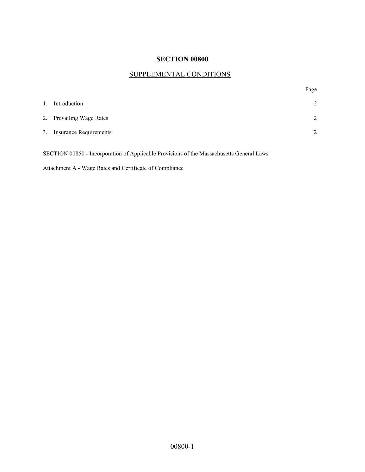## SUPPLEMENTAL CONDITIONS

Page

| 1. | Introduction              | 2              |
|----|---------------------------|----------------|
|    | 2. Prevailing Wage Rates  | $\mathfrak{D}$ |
|    | 3. Insurance Requirements | $\gamma$       |
|    |                           |                |

SECTION 00850 - Incorporation of Applicable Provisions of the Massachusetts General Laws

Attachment A - Wage Rates and Certificate of Compliance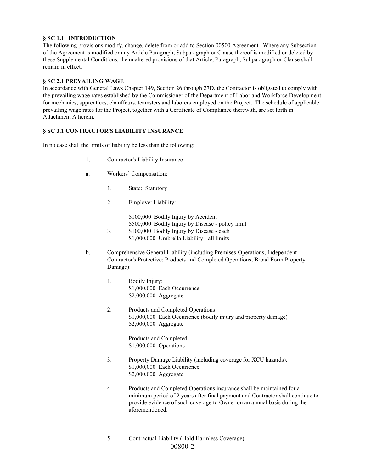#### **§ SC 1.1 INTRODUCTION**

The following provisions modify, change, delete from or add to Section 00500 Agreement. Where any Subsection of the Agreement is modified or any Article Paragraph, Subparagraph or Clause thereof is modified or deleted by these Supplemental Conditions, the unaltered provisions of that Article, Paragraph, Subparagraph or Clause shall remain in effect.

#### **§ SC 2.1 PREVAILING WAGE**

In accordance with General Laws Chapter 149, Section 26 through 27D, the Contractor is obligated to comply with the prevailing wage rates established by the Commissioner of the Department of Labor and Workforce Development for mechanics, apprentices, chauffeurs, teamsters and laborers employed on the Project. The schedule of applicable prevailing wage rates for the Project, together with a Certificate of Compliance therewith, are set forth in Attachment A herein.

#### **§ SC 3.1 CONTRACTOR'S LIABILITY INSURANCE**

In no case shall the limits of liability be less than the following:

- 1. Contractor's Liability Insurance
- a. Workers' Compensation:
	- 1. State: Statutory
	- 2. Employer Liability:

\$100,000 Bodily Injury by Accident \$500,000 Bodily Injury by Disease - policy limit 3. \$100,000 Bodily Injury by Disease - each

- \$1,000,000 Umbrella Liability all limits
- b. Comprehensive General Liability (including Premises-Operations; Independent Contractor's Protective; Products and Completed Operations; Broad Form Property Damage):
	- 1. Bodily Injury: \$1,000,000 Each Occurrence \$2,000,000 Aggregate
	- 2. Products and Completed Operations \$1,000,000 Each Occurrence (bodily injury and property damage) \$2,000,000 Aggregate

 Products and Completed \$1,000,000 Operations

- 3. Property Damage Liability (including coverage for XCU hazards). \$1,000,000 Each Occurrence \$2,000,000 Aggregate
- 4. Products and Completed Operations insurance shall be maintained for a minimum period of 2 years after final payment and Contractor shall continue to provide evidence of such coverage to Owner on an annual basis during the aforementioned.
- 00800-2 5. Contractual Liability (Hold Harmless Coverage):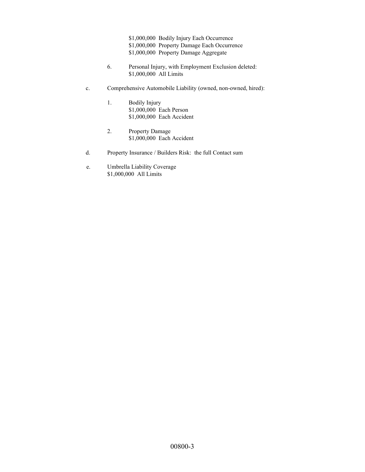\$1,000,000 Bodily Injury Each Occurrence \$1,000,000 Property Damage Each Occurrence \$1,000,000 Property Damage Aggregate

- 6. Personal Injury, with Employment Exclusion deleted: \$1,000,000 All Limits
- c. Comprehensive Automobile Liability (owned, non-owned, hired):
	- 1. Bodily Injury \$1,000,000 Each Person \$1,000,000 Each Accident
	- 2. Property Damage \$1,000,000 Each Accident
- d. Property Insurance / Builders Risk: the full Contact sum
- e. Umbrella Liability Coverage \$1,000,000 All Limits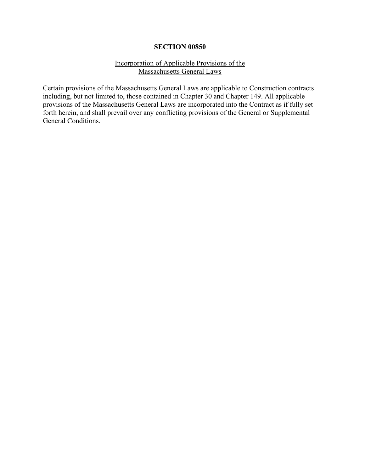#### Incorporation of Applicable Provisions of the Massachusetts General Laws

Certain provisions of the Massachusetts General Laws are applicable to Construction contracts including, but not limited to, those contained in Chapter 30 and Chapter 149. All applicable provisions of the Massachusetts General Laws are incorporated into the Contract as if fully set forth herein, and shall prevail over any conflicting provisions of the General or Supplemental General Conditions.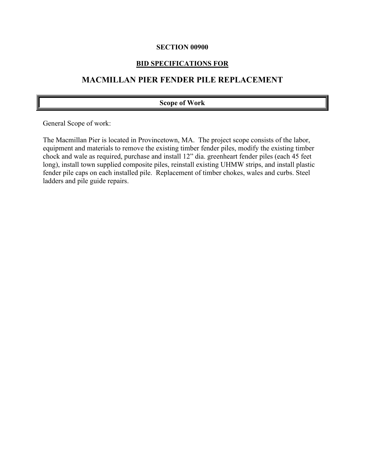## **BID SPECIFICATIONS FOR**

## **MACMILLAN PIER FENDER PILE REPLACEMENT**

#### **Scope of Work**

General Scope of work:

The Macmillan Pier is located in Provincetown, MA. The project scope consists of the labor, equipment and materials to remove the existing timber fender piles, modify the existing timber chock and wale as required, purchase and install 12" dia. greenheart fender piles (each 45 feet long), install town supplied composite piles, reinstall existing UHMW strips, and install plastic fender pile caps on each installed pile. Replacement of timber chokes, wales and curbs. Steel ladders and pile guide repairs.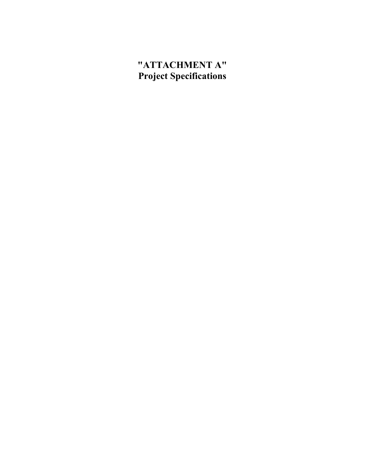## **"ATTACHMENT A" Project Specifications**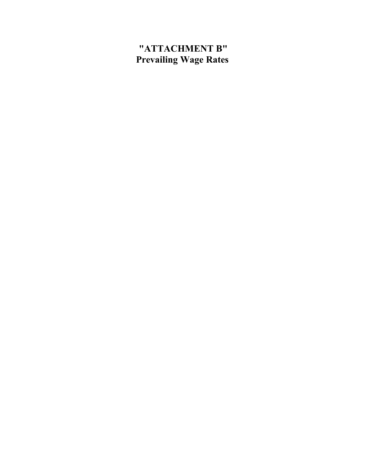## **"ATTACHMENT B" Prevailing Wage Rates**